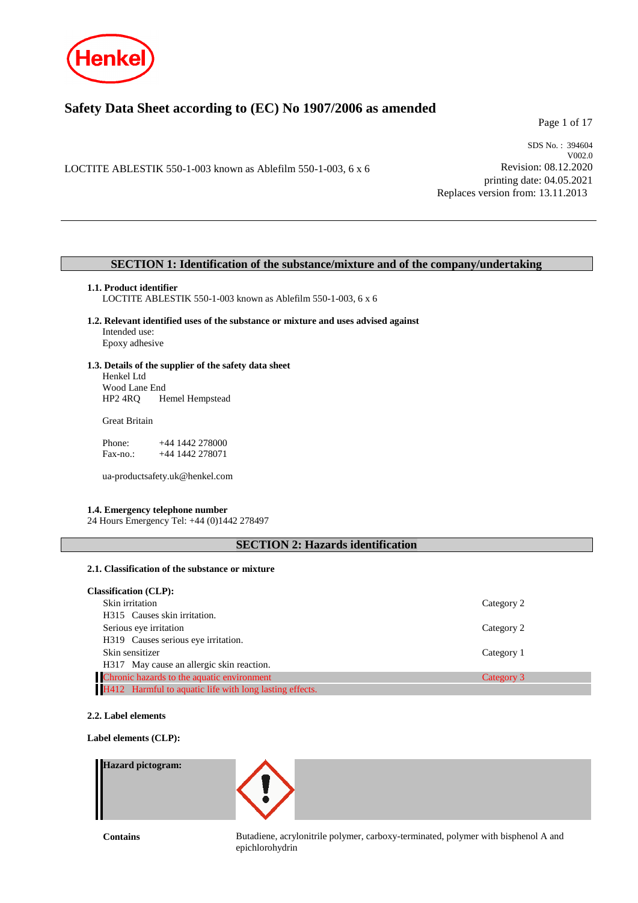

# **Safety Data Sheet according to (EC) No 1907/2006 as amended**

Page 1 of 17

LOCTITE ABLESTIK 550-1-003 known as Ablefilm 550-1-003, 6 x 6

SDS No. : 394604 V002.0 Revision: 08.12.2020 printing date: 04.05.2021 Replaces version from: 13.11.2013

# **SECTION 1: Identification of the substance/mixture and of the company/undertaking**

### **1.1. Product identifier**

LOCTITE ABLESTIK 550-1-003 known as Ablefilm 550-1-003, 6 x 6

**1.2. Relevant identified uses of the substance or mixture and uses advised against** Intended use: Epoxy adhesive

# **1.3. Details of the supplier of the safety data sheet** Henkel Ltd

Wood Lane End<br>HP2 4RQ H Hemel Hempstead

Great Britain

Phone: +44 1442 278000<br>Fax-no.: +44 1442 278071 +44 1442 278071

ua-productsafety.uk@henkel.com

# **1.4. Emergency telephone number**

24 Hours Emergency Tel: +44 (0)1442 278497

# **SECTION 2: Hazards identification**

# **2.1. Classification of the substance or mixture**

| <b>Classification (CLP):</b>                            |            |
|---------------------------------------------------------|------------|
| Skin irritation                                         | Category 2 |
| H315 Causes skin irritation.                            |            |
| Serious eye irritation                                  | Category 2 |
| H319 Causes serious eye irritation.                     |            |
| Skin sensitizer                                         | Category 1 |
| H317 May cause an allergic skin reaction.               |            |
| Chronic hazards to the aquatic environment              | Category 3 |
| H412 Harmful to aquatic life with long lasting effects. |            |

**2.2. Label elements**

**Label elements (CLP):**

# **Hazard pictogram:**



**Contains** Butadiene, acrylonitrile polymer, carboxy-terminated, polymer with bisphenol A and epichlorohydrin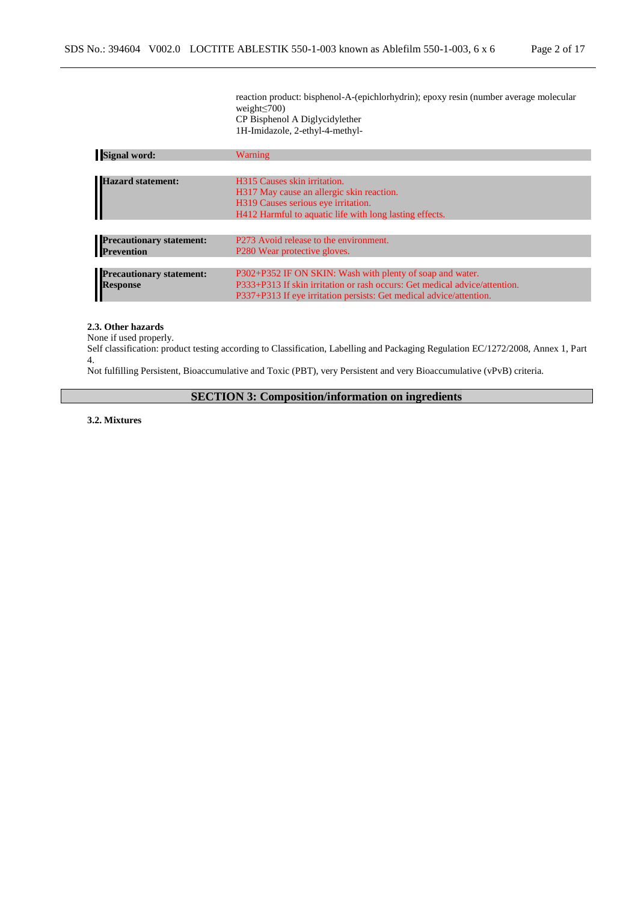reaction product: bisphenol-A-(epichlorhydrin); epoxy resin (number average molecular weight≤700) CP Bisphenol A Diglycidylether 1H-Imidazole, 2-ethyl-4-methyl-

| <b>Signal word:</b>             | <b>Warning</b>                                                             |
|---------------------------------|----------------------------------------------------------------------------|
|                                 |                                                                            |
| <b>Hazard statement:</b>        | H315 Causes skin irritation.                                               |
|                                 | H317 May cause an allergic skin reaction.                                  |
|                                 | H319 Causes serious eye irritation.                                        |
|                                 | H412 Harmful to aquatic life with long lasting effects.                    |
|                                 |                                                                            |
| <b>Precautionary statement:</b> | P273 Avoid release to the environment.                                     |
| <b>Prevention</b>               | P <sub>280</sub> Wear protective gloves.                                   |
|                                 |                                                                            |
| <b>Precautionary statement:</b> | P302+P352 IF ON SKIN: Wash with plenty of soap and water.                  |
| <b>Response</b>                 | P333+P313 If skin irritation or rash occurs: Get medical advice/attention. |
|                                 | P337+P313 If eye irritation persists: Get medical advice/attention.        |

# **2.3. Other hazards**

None if used properly.

Self classification: product testing according to Classification, Labelling and Packaging Regulation EC/1272/2008, Annex 1, Part 4.

Not fulfilling Persistent, Bioaccumulative and Toxic (PBT), very Persistent and very Bioaccumulative (vPvB) criteria.

**SECTION 3: Composition/information on ingredients**

**3.2. Mixtures**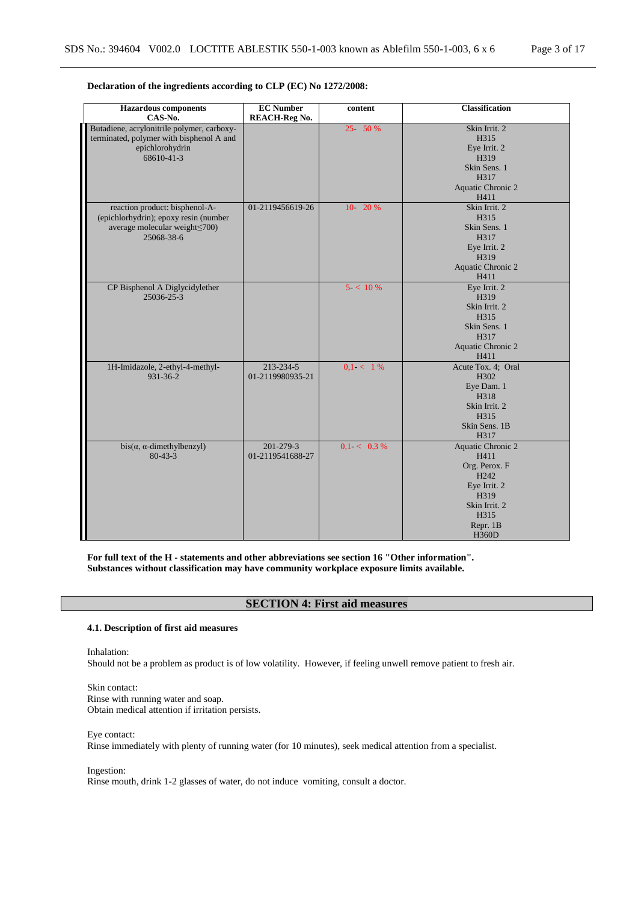| <b>Hazardous</b> components<br>CAS-No.                                                                                            | <b>EC Number</b><br><b>REACH-Reg No.</b> | content        | <b>Classification</b>                                                                                                                              |
|-----------------------------------------------------------------------------------------------------------------------------------|------------------------------------------|----------------|----------------------------------------------------------------------------------------------------------------------------------------------------|
| Butadiene, acrylonitrile polymer, carboxy-<br>terminated, polymer with bisphenol A and<br>epichlorohydrin<br>68610-41-3           |                                          | 25 50 %        | Skin Irrit. 2<br>H315<br>Eye Irrit. 2<br>H319<br>Skin Sens. 1<br>H317<br>Aquatic Chronic 2<br>H411                                                 |
| reaction product: bisphenol-A-<br>(epichlorhydrin); epoxy resin (number<br>average molecular weight <a>&gt;</a> O0)<br>25068-38-6 | 01-2119456619-26                         | $10 - 20%$     | Skin Irrit. 2<br>H315<br>Skin Sens. 1<br>H317<br>Eye Irrit. 2<br>H319<br>Aquatic Chronic 2<br>H411                                                 |
| CP Bisphenol A Diglycidylether<br>25036-25-3                                                                                      |                                          | $5 < 10\%$     | Eye Irrit. 2<br>H319<br>Skin Irrit. 2<br>H315<br>Skin Sens. 1<br>H317<br>Aquatic Chronic 2<br>H411                                                 |
| 1H-Imidazole, 2-ethyl-4-methyl-<br>$931 - 36 - 2$                                                                                 | 213-234-5<br>01-2119980935-21            | $0.1 < 1\%$    | Acute Tox. 4; Oral<br>H302<br>Eye Dam. 1<br>H318<br>Skin Irrit. 2<br>H315<br>Skin Sens. 1B<br>H317                                                 |
| $bis(\alpha, \alpha$ -dimethylbenzyl)<br>$80 - 43 - 3$                                                                            | 201-279-3<br>01-2119541688-27            | $0.1 < 0.3 \%$ | <b>Aquatic Chronic 2</b><br>H411<br>Org. Perox. F<br>H <sub>242</sub><br>Eye Irrit. 2<br>H319<br>Skin Irrit. 2<br>H315<br>Repr. 1B<br><b>H360D</b> |

# **Declaration of the ingredients according to CLP (EC) No 1272/2008:**

**For full text of the H - statements and other abbreviations see section 16 "Other information". Substances without classification may have community workplace exposure limits available.**

# **SECTION 4: First aid measures**

# **4.1. Description of first aid measures**

Inhalation:

Should not be a problem as product is of low volatility. However, if feeling unwell remove patient to fresh air.

Skin contact: Rinse with running water and soap. Obtain medical attention if irritation persists.

#### Eye contact:

Rinse immediately with plenty of running water (for 10 minutes), seek medical attention from a specialist.

Ingestion:

Rinse mouth, drink 1-2 glasses of water, do not induce vomiting, consult a doctor.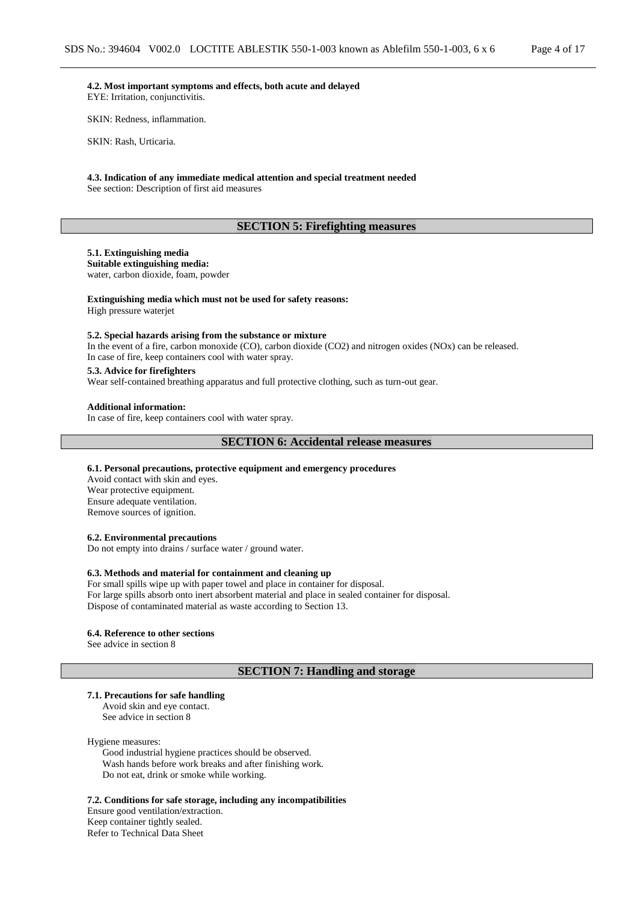**4.2. Most important symptoms and effects, both acute and delayed** EYE: Irritation, conjunctivitis.

SKIN: Redness, inflammation.

SKIN: Rash, Urticaria.

#### **4.3. Indication of any immediate medical attention and special treatment needed** See section: Description of first aid measures

# **SECTION 5: Firefighting measures**

### **5.1. Extinguishing media**

**Suitable extinguishing media:** water, carbon dioxide, foam, powder

### **Extinguishing media which must not be used for safety reasons:**

High pressure waterjet

### **5.2. Special hazards arising from the substance or mixture**

In the event of a fire, carbon monoxide (CO), carbon dioxide (CO2) and nitrogen oxides (NOx) can be released. In case of fire, keep containers cool with water spray.

### **5.3. Advice for firefighters**

Wear self-contained breathing apparatus and full protective clothing, such as turn-out gear.

#### **Additional information:**

In case of fire, keep containers cool with water spray.

### **SECTION 6: Accidental release measures**

#### **6.1. Personal precautions, protective equipment and emergency procedures**

Avoid contact with skin and eyes. Wear protective equipment. Ensure adequate ventilation. Remove sources of ignition.

#### **6.2. Environmental precautions**

Do not empty into drains / surface water / ground water.

#### **6.3. Methods and material for containment and cleaning up**

For small spills wipe up with paper towel and place in container for disposal. For large spills absorb onto inert absorbent material and place in sealed container for disposal. Dispose of contaminated material as waste according to Section 13.

#### **6.4. Reference to other sections**

See advice in section 8

### **SECTION 7: Handling and storage**

#### **7.1. Precautions for safe handling**

Avoid skin and eye contact. See advice in section 8

#### Hygiene measures:

Good industrial hygiene practices should be observed. Wash hands before work breaks and after finishing work. Do not eat, drink or smoke while working.

**7.2. Conditions for safe storage, including any incompatibilities** Ensure good ventilation/extraction. Keep container tightly sealed. Refer to Technical Data Sheet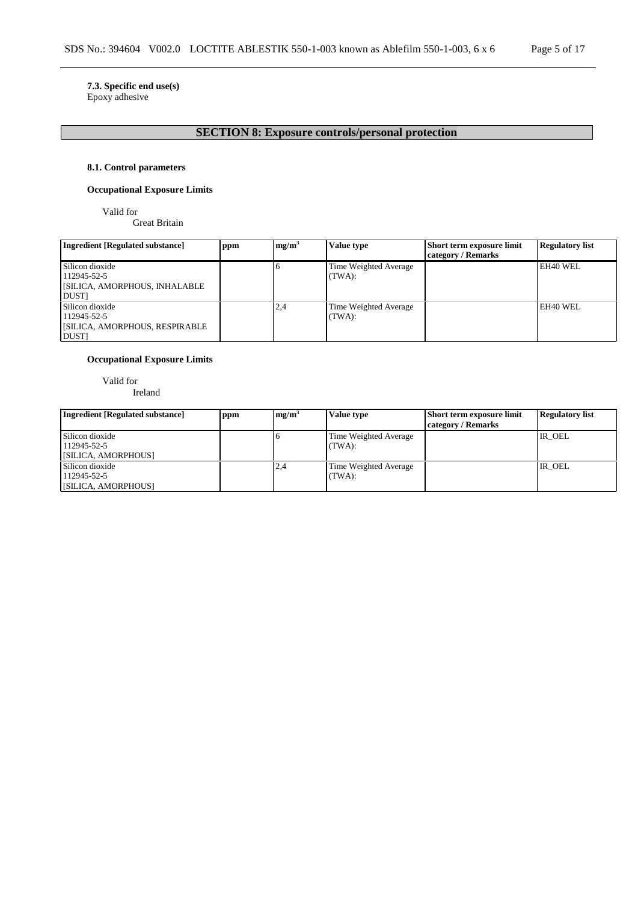# **7.3. Specific end use(s)**

Epoxy adhesive

# **SECTION 8: Exposure controls/personal protection**

# **8.1. Control parameters**

# **Occupational Exposure Limits**

Valid for

Great Britain

| <b>Ingredient [Regulated substance]</b> | ppm | mg/m <sup>3</sup> | <b>Value type</b>     | Short term exposure limit | <b>Regulatory list</b> |
|-----------------------------------------|-----|-------------------|-----------------------|---------------------------|------------------------|
|                                         |     |                   |                       | category / Remarks        |                        |
| Silicon dioxide                         |     |                   | Time Weighted Average |                           | EH40 WEL               |
| 112945-52-5                             |     |                   | (TWA):                |                           |                        |
| <b>SILICA, AMORPHOUS, INHALABLE</b>     |     |                   |                       |                           |                        |
| <b>DUST</b>                             |     |                   |                       |                           |                        |
| Silicon dioxide                         |     | 2,4               | Time Weighted Average |                           | EH40 WEL               |
| 112945-52-5                             |     |                   | (TWA):                |                           |                        |
| <b>SILICA, AMORPHOUS, RESPIRABLE</b>    |     |                   |                       |                           |                        |
| <b>DUST</b>                             |     |                   |                       |                           |                        |

# **Occupational Exposure Limits**

Valid for

Ireland

| <b>Ingredient [Regulated substance]</b>               | ppm | mg/m <sup>3</sup> | Value type                      | <b>Short term exposure limit</b><br>category / Remarks | <b>Regulatory list</b> |
|-------------------------------------------------------|-----|-------------------|---------------------------------|--------------------------------------------------------|------------------------|
| Silicon dioxide<br>112945-52-5<br>[SILICA, AMORPHOUS] |     |                   | Time Weighted Average<br>(TWA): |                                                        | IR OEL                 |
| Silicon dioxide<br>112945-52-5<br>[SILICA, AMORPHOUS] |     | 2.4               | Time Weighted Average<br>(TWA): |                                                        | IR OEL                 |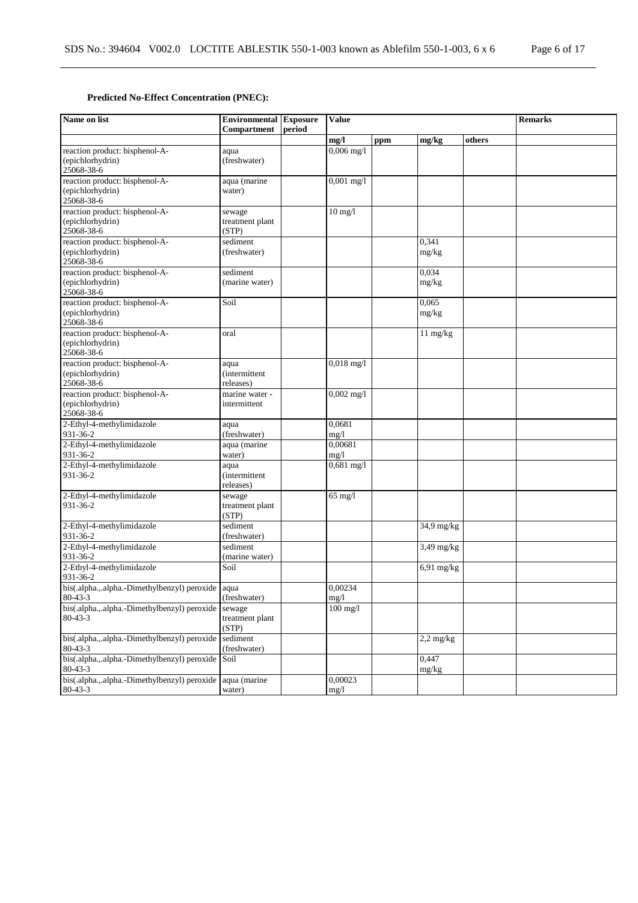# **Predicted No-Effect Concentration (PNEC):**

| Name on list                                                       | <b>Environmental Exposure</b><br>Compartment | period | <b>Value</b>      |     |                | <b>Remarks</b> |  |
|--------------------------------------------------------------------|----------------------------------------------|--------|-------------------|-----|----------------|----------------|--|
|                                                                    |                                              |        | mg/l              | ppm | mg/kg          | others         |  |
| reaction product: bisphenol-A-<br>(epichlorhydrin)<br>25068-38-6   | aqua<br>(freshwater)                         |        | $0,006$ mg/l      |     |                |                |  |
| reaction product: bisphenol-A-<br>(epichlorhydrin)<br>25068-38-6   | aqua (marine<br>water)                       |        | $0,001$ mg/l      |     |                |                |  |
| reaction product: bisphenol-A-<br>(epichlorhydrin)<br>25068-38-6   | sewage<br>treatment plant<br>(STP)           |        | $10 \text{ mg}/1$ |     |                |                |  |
| reaction product: bisphenol-A-<br>(epichlorhydrin)<br>25068-38-6   | sediment<br>(freshwater)                     |        |                   |     | 0,341<br>mg/kg |                |  |
| reaction product: bisphenol-A-<br>(epichlorhydrin)<br>25068-38-6   | sediment<br>(marine water)                   |        |                   |     | 0.034<br>mg/kg |                |  |
| reaction product: bisphenol-A-<br>(epichlorhydrin)<br>25068-38-6   | Soil                                         |        |                   |     | 0.065<br>mg/kg |                |  |
| reaction product: bisphenol-A-<br>(epichlorhydrin)<br>25068-38-6   | oral                                         |        |                   |     | 11 mg/kg       |                |  |
| reaction product: bisphenol-A-<br>(epichlorhydrin)<br>25068-38-6   | aqua<br><i>(intermittent)</i><br>releases)   |        | $0,018$ mg/l      |     |                |                |  |
| reaction product: bisphenol-A-<br>(epichlorhydrin)<br>25068-38-6   | marine water -<br>intermittent               |        | $0,002$ mg/l      |     |                |                |  |
| 2-Ethyl-4-methylimidazole<br>931-36-2                              | aqua<br>(freshwater)                         |        | 0,0681<br>mg/1    |     |                |                |  |
| 2-Ethyl-4-methylimidazole<br>931-36-2                              | aqua (marine<br>water)                       |        | 0.00681<br>mg/1   |     |                |                |  |
| 2-Ethyl-4-methylimidazole<br>931-36-2                              | aqua<br><i>(intermittent)</i><br>releases)   |        | $0,681$ mg/l      |     |                |                |  |
| 2-Ethyl-4-methylimidazole<br>931-36-2                              | sewage<br>treatment plant<br>(STP)           |        | $65$ mg/l         |     |                |                |  |
| 2-Ethyl-4-methylimidazole<br>931-36-2                              | sediment<br>(freshwater)                     |        |                   |     | 34,9 mg/kg     |                |  |
| 2-Ethyl-4-methylimidazole<br>931-36-2                              | sediment<br>(marine water)                   |        |                   |     | $3,49$ mg/kg   |                |  |
| 2-Ethyl-4-methylimidazole<br>931-36-2                              | Soil                                         |        |                   |     | $6,91$ mg/kg   |                |  |
| bis(.alpha.,.alpha.-Dimethylbenzyl) peroxide aqua<br>$80 - 43 - 3$ | (freshwater)                                 |        | 0,00234<br>mg/1   |     |                |                |  |
| bis(.alpha.,.alpha.-Dimethylbenzyl) peroxide<br>$80 - 43 - 3$      | sewage<br>treatment plant<br>(STP)           |        | $100$ mg/l        |     |                |                |  |
| bis(.alpha.,.alpha.-Dimethylbenzyl) peroxide<br>80-43-3            | sediment<br>(freshwater)                     |        |                   |     | $2,2$ mg/kg    |                |  |
| bis(.alpha.,.alpha.-Dimethylbenzyl) peroxide<br>$80 - 43 - 3$      | Soil                                         |        |                   |     | 0,447<br>mg/kg |                |  |
| bis(.alpha.,.alpha.-Dimethylbenzyl) peroxide<br>$80 - 43 - 3$      | aqua (marine<br>water)                       |        | 0,00023<br>mg/1   |     |                |                |  |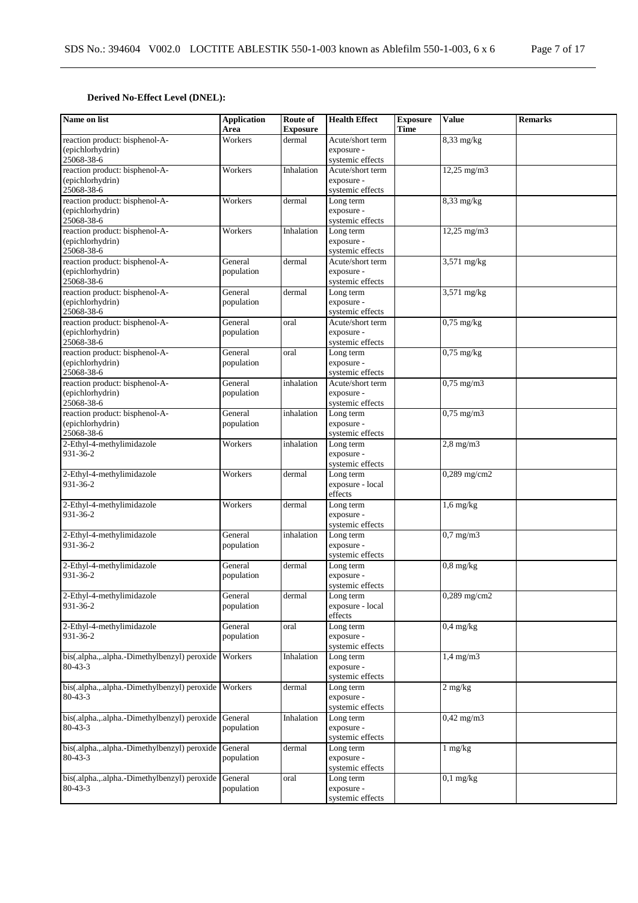# **Derived No-Effect Level (DNEL):**

| Name on list                                 | <b>Application</b><br>Area | Route of<br><b>Exposure</b> | <b>Health Effect</b>           | <b>Exposure</b><br><b>Time</b> | <b>Value</b>          | <b>Remarks</b> |
|----------------------------------------------|----------------------------|-----------------------------|--------------------------------|--------------------------------|-----------------------|----------------|
| reaction product: bisphenol-A-               | Workers                    | dermal                      | Acute/short term               |                                | $8,33$ mg/kg          |                |
| (epichlorhydrin)                             |                            |                             | exposure -                     |                                |                       |                |
| 25068-38-6                                   |                            |                             | systemic effects               |                                |                       |                |
| reaction product: bisphenol-A-               | Workers                    | Inhalation                  | Acute/short term               |                                | $12,25$ mg/m $3$      |                |
| (epichlorhydrin)                             |                            |                             | exposure -                     |                                |                       |                |
| 25068-38-6                                   |                            |                             | systemic effects               |                                |                       |                |
| reaction product: bisphenol-A-               | Workers                    | dermal                      | Long term                      |                                | $8,33$ mg/kg          |                |
| (epichlorhydrin)                             |                            |                             | exposure -                     |                                |                       |                |
| 25068-38-6                                   |                            |                             | systemic effects               |                                |                       |                |
| reaction product: bisphenol-A-               | Workers                    | Inhalation                  | Long term                      |                                | 12,25 mg/m3           |                |
| (epichlorhydrin)                             |                            |                             | exposure -                     |                                |                       |                |
| 25068-38-6                                   |                            |                             | systemic effects               |                                |                       |                |
| reaction product: bisphenol-A-               | General                    | dermal                      | Acute/short term               |                                | $3,571$ mg/kg         |                |
| (epichlorhydrin)<br>25068-38-6               | population                 |                             | exposure -                     |                                |                       |                |
| reaction product: bisphenol-A-               | General                    |                             | systemic effects               |                                | $3,571 \text{ mg/kg}$ |                |
| (epichlorhydrin)                             | population                 | dermal                      | Long term<br>exposure -        |                                |                       |                |
| 25068-38-6                                   |                            |                             | systemic effects               |                                |                       |                |
| reaction product: bisphenol-A-               | General                    | oral                        | Acute/short term               |                                | $0,75$ mg/kg          |                |
| (epichlorhydrin)                             | population                 |                             | exposure -                     |                                |                       |                |
| 25068-38-6                                   |                            |                             | systemic effects               |                                |                       |                |
| reaction product: bisphenol-A-               | General                    | oral                        | Long term                      |                                | $0,75$ mg/kg          |                |
| (epichlorhydrin)                             | population                 |                             | exposure -                     |                                |                       |                |
| 25068-38-6                                   |                            |                             | systemic effects               |                                |                       |                |
| reaction product: bisphenol-A-               | General                    | inhalation                  | Acute/short term               |                                | $0,75$ mg/m $3$       |                |
| (epichlorhydrin)                             | population                 |                             | exposure -                     |                                |                       |                |
| 25068-38-6                                   |                            |                             | systemic effects               |                                |                       |                |
| reaction product: bisphenol-A-               | General                    | inhalation                  | Long term                      |                                | $0,75$ mg/m $3$       |                |
| (epichlorhydrin)                             | population                 |                             | exposure -                     |                                |                       |                |
| 25068-38-6                                   |                            |                             | systemic effects               |                                |                       |                |
| 2-Ethyl-4-methylimidazole<br>931-36-2        | Workers                    | inhalation                  | Long term<br>exposure -        |                                | $2,8$ mg/m $3$        |                |
|                                              |                            |                             | systemic effects               |                                |                       |                |
| 2-Ethyl-4-methylimidazole                    | Workers                    | dermal                      | Long term                      |                                | 0,289 mg/cm2          |                |
| 931-36-2                                     |                            |                             | exposure - local               |                                |                       |                |
|                                              |                            |                             | effects                        |                                |                       |                |
| 2-Ethyl-4-methylimidazole                    | Workers                    | dermal                      | Long term                      |                                | $1,6$ mg/kg           |                |
| 931-36-2                                     |                            |                             | exposure -                     |                                |                       |                |
|                                              |                            |                             | systemic effects               |                                |                       |                |
| 2-Ethyl-4-methylimidazole                    | General                    | inhalation                  | Long term                      |                                | $0.7$ mg/m $3$        |                |
| 931-36-2                                     | population                 |                             | exposure -                     |                                |                       |                |
|                                              |                            |                             | systemic effects               |                                |                       |                |
| 2-Ethyl-4-methylimidazole<br>931-36-2        | General                    | dermal                      | Long term<br>exposure -        |                                | $0.8$ mg/kg           |                |
|                                              | population                 |                             | systemic effects               |                                |                       |                |
| 2-Ethyl-4-methylimidazole                    | General                    | dermal                      | Long term                      |                                | 0,289 mg/cm2          |                |
| 931-36-2                                     | population                 |                             | exposure - local               |                                |                       |                |
|                                              |                            |                             | effects                        |                                |                       |                |
| 2-Ethyl-4-methylimidazole                    | General                    | oral                        | Long term                      |                                | $0,4$ mg/kg           |                |
| 931-36-2                                     | population                 |                             | exposure -                     |                                |                       |                |
|                                              |                            |                             | systemic effects               |                                |                       |                |
| bis(.alpha.,.alpha.-Dimethylbenzyl) peroxide | Workers                    | Inhalation                  | Long term                      |                                | $1,4$ mg/m $3$        |                |
| $80 - 43 - 3$                                |                            |                             | exposure -                     |                                |                       |                |
|                                              |                            |                             | systemic effects               |                                |                       |                |
| bis(.alpha.,.alpha.-Dimethylbenzyl) peroxide | Workers                    | dermal                      | Long term                      |                                | $2 \text{ mg/kg}$     |                |
| $80 - 43 - 3$                                |                            |                             | exposure -<br>systemic effects |                                |                       |                |
| bis(.alpha.,.alpha.-Dimethylbenzyl) peroxide | General                    | Inhalation                  | Long term                      |                                | $0,42 \text{ mg/m}$   |                |
| $80 - 43 - 3$                                | population                 |                             | exposure -                     |                                |                       |                |
|                                              |                            |                             | systemic effects               |                                |                       |                |
| bis(.alpha.,.alpha.-Dimethylbenzyl) peroxide | General                    | dermal                      | Long term                      |                                | $1 \text{ mg/kg}$     |                |
| $80 - 43 - 3$                                | population                 |                             | exposure -                     |                                |                       |                |
|                                              |                            |                             | systemic effects               |                                |                       |                |
| bis(.alpha.,.alpha.-Dimethylbenzyl) peroxide | General                    | oral                        | Long term                      |                                | $0,1$ mg/kg           |                |
| $80 - 43 - 3$                                | population                 |                             | exposure -                     |                                |                       |                |
|                                              |                            |                             | systemic effects               |                                |                       |                |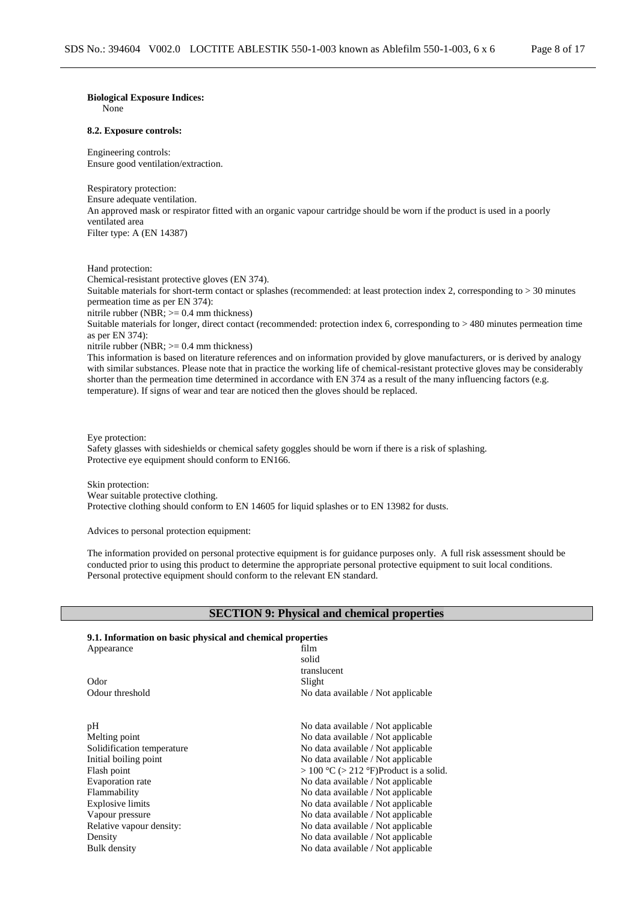# **Biological Exposure Indices:**

None

#### **8.2. Exposure controls:**

Engineering controls: Ensure good ventilation/extraction.

Respiratory protection: Ensure adequate ventilation. An approved mask or respirator fitted with an organic vapour cartridge should be worn if the product is used in a poorly ventilated area Filter type: A (EN 14387)

Hand protection:

Chemical-resistant protective gloves (EN 374).

Suitable materials for short-term contact or splashes (recommended: at least protection index 2, corresponding to > 30 minutes permeation time as per EN 374):

nitrile rubber (NBR;  $>= 0.4$  mm thickness)

Suitable materials for longer, direct contact (recommended: protection index 6, corresponding to > 480 minutes permeation time as per EN 374):

nitrile rubber (NBR; >= 0.4 mm thickness)

This information is based on literature references and on information provided by glove manufacturers, or is derived by analogy with similar substances. Please note that in practice the working life of chemical-resistant protective gloves may be considerably shorter than the permeation time determined in accordance with EN 374 as a result of the many influencing factors (e.g. temperature). If signs of wear and tear are noticed then the gloves should be replaced.

#### Eye protection:

Safety glasses with sideshields or chemical safety goggles should be worn if there is a risk of splashing. Protective eye equipment should conform to EN166.

Skin protection: Wear suitable protective clothing. Protective clothing should conform to EN 14605 for liquid splashes or to EN 13982 for dusts.

Advices to personal protection equipment:

The information provided on personal protective equipment is for guidance purposes only. A full risk assessment should be conducted prior to using this product to determine the appropriate personal protective equipment to suit local conditions. Personal protective equipment should conform to the relevant EN standard.

### **SECTION 9: Physical and chemical properties**

#### **9.1. Information on basic physical and chemical properties**

| Appearance                 | film                                   |
|----------------------------|----------------------------------------|
|                            | solid                                  |
|                            | translucent                            |
| Odor                       | Slight                                 |
| Odour threshold            | No data available / Not applicable     |
| pН                         | No data available / Not applicable     |
| Melting point              | No data available / Not applicable     |
| Solidification temperature | No data available / Not applicable     |
| Initial boiling point      | No data available / Not applicable     |
| Flash point                | > 100 °C (> 212 °F)Product is a solid. |
| Evaporation rate           | No data available / Not applicable     |
| Flammability               | No data available / Not applicable     |
| Explosive limits           | No data available / Not applicable     |
| Vapour pressure            | No data available / Not applicable     |
| Relative vapour density:   | No data available / Not applicable     |
| Density                    | No data available / Not applicable     |
| Bulk density               | No data available / Not applicable     |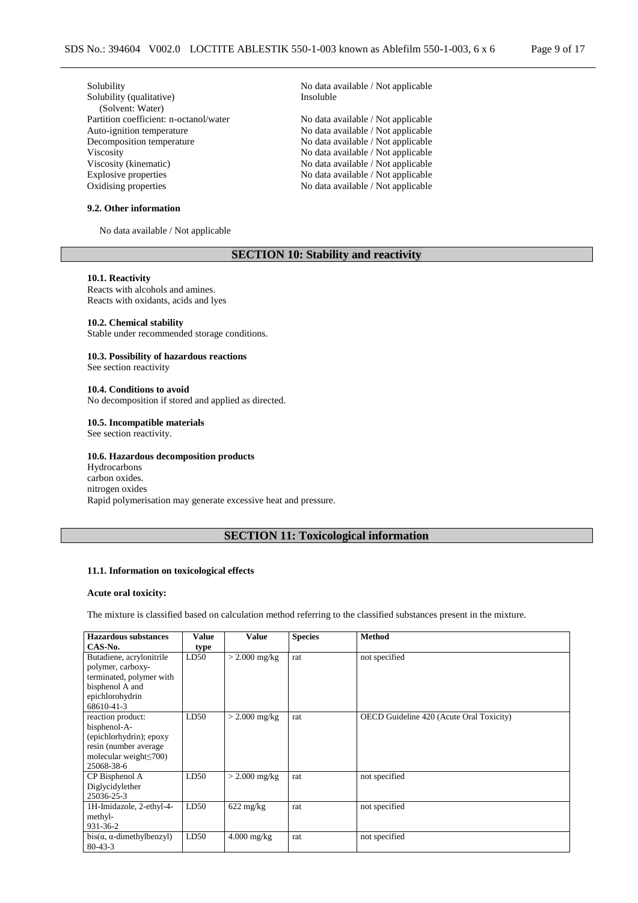| Solubility                             | No data available / Not applicable |
|----------------------------------------|------------------------------------|
| Solubility (qualitative)               | Insoluble                          |
| (Solvent: Water)                       |                                    |
| Partition coefficient: n-octanol/water | No data available / Not applicable |
| Auto-ignition temperature              | No data available / Not applicable |
| Decomposition temperature              | No data available / Not applicable |
| <b>Viscosity</b>                       | No data available / Not applicable |
| Viscosity (kinematic)                  | No data available / Not applicable |
| Explosive properties                   | No data available / Not applicable |
| Oxidising properties                   | No data available / Not applicable |
|                                        |                                    |

### **9.2. Other information**

No data available / Not applicable

# **SECTION 10: Stability and reactivity**

# **10.1. Reactivity**

Reacts with alcohols and amines. Reacts with oxidants, acids and lyes

#### **10.2. Chemical stability**

Stable under recommended storage conditions.

### **10.3. Possibility of hazardous reactions**

See section reactivity

#### **10.4. Conditions to avoid**

No decomposition if stored and applied as directed.

# **10.5. Incompatible materials**

See section reactivity.

### **10.6. Hazardous decomposition products**

Hydrocarbons carbon oxides. nitrogen oxides Rapid polymerisation may generate excessive heat and pressure.

# **SECTION 11: Toxicological information**

#### **11.1. Information on toxicological effects**

#### **Acute oral toxicity:**

The mixture is classified based on calculation method referring to the classified substances present in the mixture.

| <b>Hazardous substances</b><br>CAS-No. | Value<br>type | Value               | <b>Species</b> | <b>Method</b>                            |
|----------------------------------------|---------------|---------------------|----------------|------------------------------------------|
| Butadiene, acrylonitrile               | LD50          | $>$ 2.000 mg/kg     | rat            | not specified                            |
| polymer, carboxy-                      |               |                     |                |                                          |
| terminated, polymer with               |               |                     |                |                                          |
| bisphenol A and                        |               |                     |                |                                          |
| epichlorohydrin                        |               |                     |                |                                          |
| 68610-41-3                             |               |                     |                |                                          |
| reaction product:                      | LD50          | $>$ 2.000 mg/kg     | rat            | OECD Guideline 420 (Acute Oral Toxicity) |
| bisphenol-A-                           |               |                     |                |                                          |
| (epichlorhydrin); epoxy                |               |                     |                |                                          |
| resin (number average                  |               |                     |                |                                          |
| molecular weight $\leq$ 700)           |               |                     |                |                                          |
| 25068-38-6                             |               |                     |                |                                          |
| CP Bisphenol A                         | LD50          | $>$ 2.000 mg/kg     | rat            | not specified                            |
| Diglycidylether                        |               |                     |                |                                          |
| 25036-25-3                             |               |                     |                |                                          |
| 1H-Imidazole, 2-ethyl-4-               | LD50          | $622 \text{ mg/kg}$ | rat            | not specified                            |
| methyl-                                |               |                     |                |                                          |
| 931-36-2                               |               |                     |                |                                          |
| $bis(\alpha, \alpha$ -dimethylbenzyl)  | LD50          | $4.000$ mg/kg       | rat            | not specified                            |
| $80 - 43 - 3$                          |               |                     |                |                                          |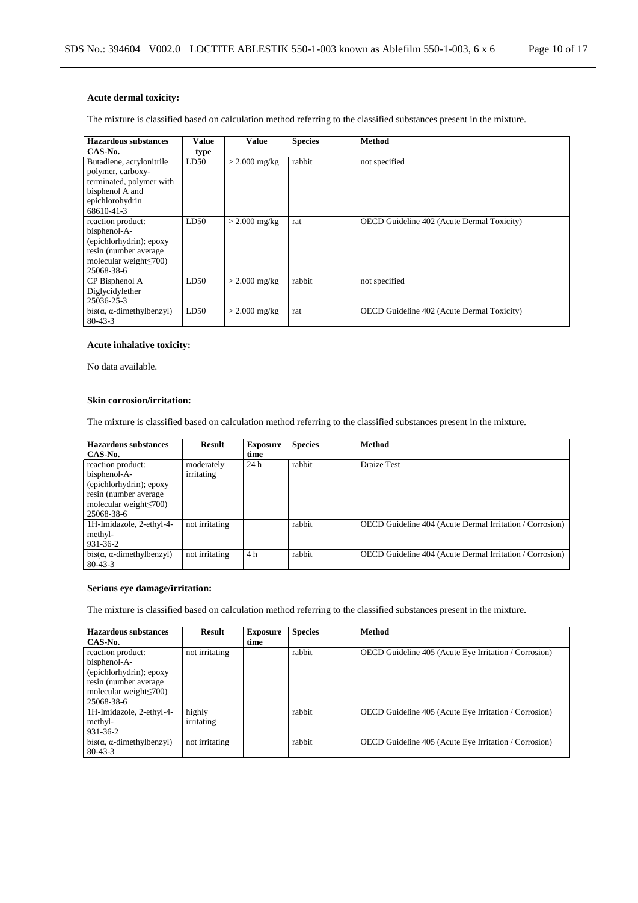# **Acute dermal toxicity:**

The mixture is classified based on calculation method referring to the classified substances present in the mixture.

| Hazardous substances                  | Value | Value           | <b>Species</b> | <b>Method</b>                                     |
|---------------------------------------|-------|-----------------|----------------|---------------------------------------------------|
| CAS-No.                               | type  |                 |                |                                                   |
| Butadiene, acrylonitrile              | LD50  | $>$ 2.000 mg/kg | rabbit         | not specified                                     |
| polymer, carboxy-                     |       |                 |                |                                                   |
| terminated, polymer with              |       |                 |                |                                                   |
| bisphenol A and                       |       |                 |                |                                                   |
| epichlorohydrin                       |       |                 |                |                                                   |
| 68610-41-3                            |       |                 |                |                                                   |
| reaction product:                     | LD50  | $> 2.000$ mg/kg | rat            | <b>OECD</b> Guideline 402 (Acute Dermal Toxicity) |
| bisphenol-A-                          |       |                 |                |                                                   |
| (epichlorhydrin); epoxy               |       |                 |                |                                                   |
| resin (number average)                |       |                 |                |                                                   |
| molecular weight $\leq 700$ )         |       |                 |                |                                                   |
| 25068-38-6                            |       |                 |                |                                                   |
| CP Bisphenol A                        | LD50  | $>$ 2.000 mg/kg | rabbit         | not specified                                     |
| Diglycidylether                       |       |                 |                |                                                   |
| 25036-25-3                            |       |                 |                |                                                   |
| $bis(\alpha, \alpha$ -dimethylbenzyl) | LD50  | $>$ 2.000 mg/kg | rat            | <b>OECD</b> Guideline 402 (Acute Dermal Toxicity) |
| $80 - 43 - 3$                         |       |                 |                |                                                   |

# **Acute inhalative toxicity:**

No data available.

#### **Skin corrosion/irritation:**

The mixture is classified based on calculation method referring to the classified substances present in the mixture.

| <b>Hazardous substances</b><br>CAS-No.                                                                                                | Result                   | <b>Exposure</b><br>time | <b>Species</b> | <b>Method</b>                                            |
|---------------------------------------------------------------------------------------------------------------------------------------|--------------------------|-------------------------|----------------|----------------------------------------------------------|
| reaction product:<br>bisphenol-A-<br>(epichlorhydrin); epoxy<br>resin (number average)<br>molecular weight $\leq 700$ )<br>25068-38-6 | moderately<br>irritating | 24h                     | rabbit         | <b>Draize Test</b>                                       |
| 1H-Imidazole, 2-ethyl-4-<br>methyl-<br>931-36-2                                                                                       | not irritating           |                         | rabbit         | OECD Guideline 404 (Acute Dermal Irritation / Corrosion) |
| $bis(\alpha, \alpha$ -dimethylbenzyl)<br>$80 - 43 - 3$                                                                                | not irritating           | 4 <sub>h</sub>          | rabbit         | OECD Guideline 404 (Acute Dermal Irritation / Corrosion) |

# **Serious eye damage/irritation:**

The mixture is classified based on calculation method referring to the classified substances present in the mixture.

| <b>Hazardous</b> substances           | <b>Result</b>  | <b>Exposure</b> | <b>Species</b> | <b>Method</b>                                                |
|---------------------------------------|----------------|-----------------|----------------|--------------------------------------------------------------|
| CAS-No.                               |                | time            |                |                                                              |
| reaction product:                     | not irritating |                 | rabbit         | <b>OECD</b> Guideline 405 (Acute Eye Irritation / Corrosion) |
| bisphenol-A-                          |                |                 |                |                                                              |
| (epichlorhydrin); epoxy               |                |                 |                |                                                              |
| resin (number average)                |                |                 |                |                                                              |
| molecular weight $\leq 700$ )         |                |                 |                |                                                              |
| 25068-38-6                            |                |                 |                |                                                              |
| 1H-Imidazole, 2-ethyl-4-              | highly         |                 | rabbit         | OECD Guideline 405 (Acute Eye Irritation / Corrosion)        |
| methyl-                               | irritating     |                 |                |                                                              |
| 931-36-2                              |                |                 |                |                                                              |
| $bis(\alpha, \alpha$ -dimethylbenzyl) | not irritating |                 | rabbit         | OECD Guideline 405 (Acute Eye Irritation / Corrosion)        |
| $80 - 43 - 3$                         |                |                 |                |                                                              |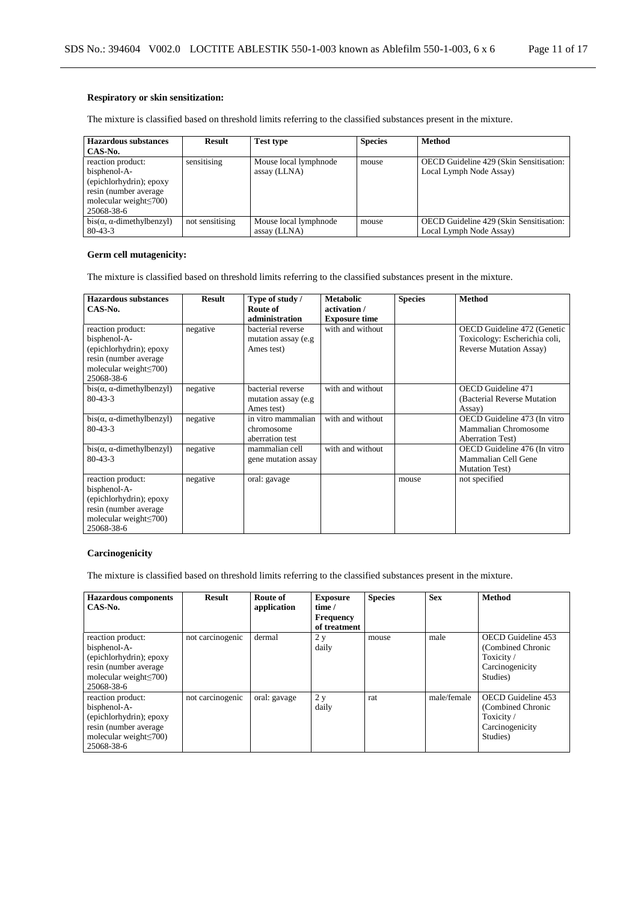The mixture is classified based on threshold limits referring to the classified substances present in the mixture.

| <b>Hazardous substances</b>           | <b>Result</b>   | <b>Test type</b>      | <b>Species</b> | <b>Method</b>                           |
|---------------------------------------|-----------------|-----------------------|----------------|-----------------------------------------|
| CAS-No.                               |                 |                       |                |                                         |
| reaction product:                     | sensitising     | Mouse local lymphnode | mouse          | OECD Guideline 429 (Skin Sensitisation: |
| bisphenol-A-                          |                 | assay (LLNA)          |                | Local Lymph Node Assay)                 |
| (epichlorhydrin); epoxy               |                 |                       |                |                                         |
| resin (number average)                |                 |                       |                |                                         |
| molecular weight $\leq 700$ )         |                 |                       |                |                                         |
| 25068-38-6                            |                 |                       |                |                                         |
| $bis(\alpha, \alpha$ -dimethylbenzyl) | not sensitising | Mouse local lymphnode | mouse          | OECD Guideline 429 (Skin Sensitisation: |
| $80 - 43 - 3$                         |                 | assay (LLNA)          |                | Local Lymph Node Assay)                 |

# **Germ cell mutagenicity:**

The mixture is classified based on threshold limits referring to the classified substances present in the mixture.

| Hazardous substances<br>CAS-No.                                                                                                      | <b>Result</b> | Type of study /<br>Route of<br>administration           | <b>Metabolic</b><br>activation /<br><b>Exposure time</b> | <b>Species</b> | <b>Method</b>                                                                                   |
|--------------------------------------------------------------------------------------------------------------------------------------|---------------|---------------------------------------------------------|----------------------------------------------------------|----------------|-------------------------------------------------------------------------------------------------|
| reaction product:<br>bisphenol-A-<br>(epichlorhydrin); epoxy<br>resin (number average<br>molecular weight $\leq 700$ )<br>25068-38-6 | negative      | bacterial reverse<br>mutation assay (e.g.<br>Ames test) | with and without                                         |                | OECD Guideline 472 (Genetic<br>Toxicology: Escherichia coli,<br><b>Reverse Mutation Assay</b> ) |
| $bis(\alpha, \alpha$ -dimethylbenzyl)<br>$80 - 43 - 3$                                                                               | negative      | bacterial reverse<br>mutation assay (e.g.<br>Ames test) | with and without                                         |                | <b>OECD</b> Guideline 471<br>(Bacterial Reverse Mutation<br>Assay)                              |
| $bis(\alpha, \alpha$ -dimethylbenzyl)<br>$80 - 43 - 3$                                                                               | negative      | in vitro mammalian<br>chromosome<br>aberration test     | with and without                                         |                | OECD Guideline 473 (In vitro<br>Mammalian Chromosome<br><b>Aberration Test</b> )                |
| $bis(\alpha, \alpha$ -dimethylbenzyl)<br>$80 - 43 - 3$                                                                               | negative      | mammalian cell<br>gene mutation assay                   | with and without                                         |                | OECD Guideline 476 (In vitro<br>Mammalian Cell Gene<br><b>Mutation Test</b> )                   |
| reaction product:<br>bisphenol-A-<br>(epichlorhydrin); epoxy<br>resin (number average<br>molecular weight $\leq$ 700)<br>25068-38-6  | negative      | oral: gavage                                            |                                                          | mouse          | not specified                                                                                   |

### **Carcinogenicity**

The mixture is classified based on threshold limits referring to the classified substances present in the mixture.

| <b>Hazardous</b> components<br>$CAS-N0$ .                                                                                             | <b>Result</b>    | Route of<br>application | <b>Exposure</b><br>time /<br><b>Frequency</b><br>of treatment | <b>Species</b> | <b>Sex</b>  | <b>Method</b>                                                                       |
|---------------------------------------------------------------------------------------------------------------------------------------|------------------|-------------------------|---------------------------------------------------------------|----------------|-------------|-------------------------------------------------------------------------------------|
| reaction product:<br>bisphenol-A-<br>(epichlorhydrin); epoxy<br>resin (number average)<br>molecular weight $\leq 700$ )<br>25068-38-6 | not carcinogenic | dermal                  | 2y<br>daily                                                   | mouse          | male        | OECD Guideline 453<br>(Combined Chronic<br>Toxicity/<br>Carcinogenicity<br>Studies) |
| reaction product:<br>bisphenol-A-<br>(epichlorhydrin); epoxy<br>resin (number average)<br>molecular weight $\leq 700$ )<br>25068-38-6 | not carcinogenic | oral: gavage            | 2y<br>daily                                                   | rat            | male/female | OECD Guideline 453<br>(Combined Chronic<br>Toxicity/<br>Carcinogenicity<br>Studies) |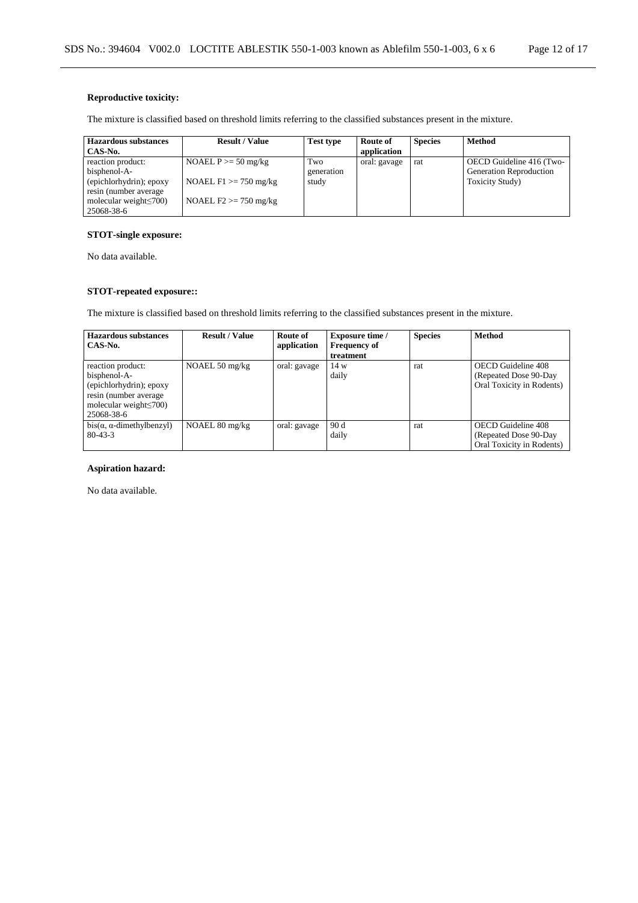# **Reproductive toxicity:**

The mixture is classified based on threshold limits referring to the classified substances present in the mixture.

| <b>Hazardous substances</b>   | <b>Result / Value</b>    | Test type  | Route of     | <b>Species</b> | Method                         |
|-------------------------------|--------------------------|------------|--------------|----------------|--------------------------------|
| CAS-No.                       |                          |            | application  |                |                                |
| reaction product:             | NOAEL $P \ge 50$ mg/kg   | Two        | oral: gavage | rat            | OECD Guideline 416 (Two-       |
| bisphenol-A-                  |                          | generation |              |                | <b>Generation Reproduction</b> |
| (epichlorhydrin); epoxy       | NOAEL $F1 \ge 750$ mg/kg | study      |              |                | Toxicity Study)                |
| resin (number average)        |                          |            |              |                |                                |
| molecular weight $\leq 700$ ) | NOAEL $F2 \ge 750$ mg/kg |            |              |                |                                |
| 25068-38-6                    |                          |            |              |                |                                |

# **STOT-single exposure:**

No data available.

# **STOT-repeated exposure::**

The mixture is classified based on threshold limits referring to the classified substances present in the mixture.

| Hazardous substances<br>CAS-No.                                                                                                       | <b>Result / Value</b>    | Route of<br>application | <b>Exposure time</b> /<br><b>Frequency of</b><br>treatment | <b>Species</b> | <b>Method</b>                                                             |
|---------------------------------------------------------------------------------------------------------------------------------------|--------------------------|-------------------------|------------------------------------------------------------|----------------|---------------------------------------------------------------------------|
| reaction product:<br>bisphenol-A-<br>(epichlorhydrin); epoxy<br>resin (number average)<br>molecular weight $\leq 700$ )<br>25068-38-6 | NOAEL $50 \text{ mg/kg}$ | oral: gavage            | 14 w<br>daily                                              | rat            | OECD Guideline 408<br>(Repeated Dose 90-Day)<br>Oral Toxicity in Rodents) |
| $bis(\alpha, \alpha$ -dimethylbenzyl)<br>$80 - 43 - 3$                                                                                | NOAEL 80 mg/kg           | oral: gavage            | 90 d<br>daily                                              | rat            | OECD Guideline 408<br>(Repeated Dose 90-Day)<br>Oral Toxicity in Rodents) |

### **Aspiration hazard:**

No data available.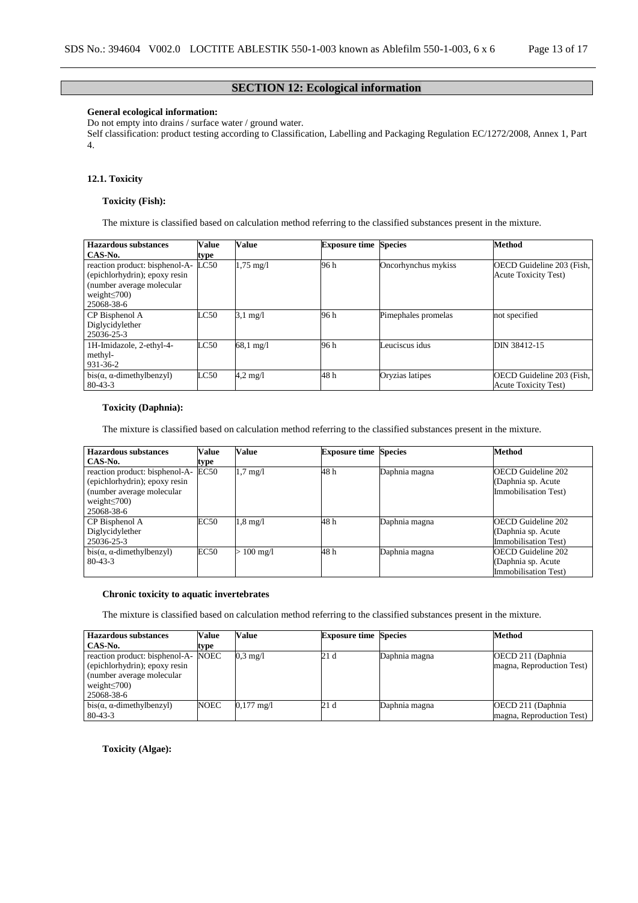# **SECTION 12: Ecological information**

# **General ecological information:**

Do not empty into drains / surface water / ground water.

Self classification: product testing according to Classification, Labelling and Packaging Regulation EC/1272/2008, Annex 1, Part 4.

# **12.1. Toxicity**

#### **Toxicity (Fish):**

The mixture is classified based on calculation method referring to the classified substances present in the mixture.

| <b>Hazardous substances</b>                                                                                                      | <b>Value</b> | <b>Value</b>        | <b>Exposure time Species</b> |                     | Method                                                   |
|----------------------------------------------------------------------------------------------------------------------------------|--------------|---------------------|------------------------------|---------------------|----------------------------------------------------------|
| CAS-No.                                                                                                                          | type         |                     |                              |                     |                                                          |
| reaction product: bisphenol-A-<br>(epichlorhydrin); epoxy resin<br>(number average molecular<br>weight $\leq$ 700)<br>25068-38-6 | LC50         | $1,75 \text{ mg}/1$ | 96 h                         | Oncorhynchus mykiss | OECD Guideline 203 (Fish,<br><b>Acute Toxicity Test)</b> |
| CP Bisphenol A<br>Diglycidylether<br>25036-25-3                                                                                  | LC50         | $3.1 \text{ mg}/1$  | 96 h                         | Pimephales promelas | not specified                                            |
| 1H-Imidazole, 2-ethyl-4-<br>methyl-<br>931-36-2                                                                                  | LC50         | $68.1 \text{ mg}/1$ | 96 h                         | Leuciscus idus      | DIN 38412-15                                             |
| $bis(\alpha, \alpha$ -dimethylbenzyl)<br>$80 - 43 - 3$                                                                           | LC50         | $4.2 \text{ mg}/1$  | 48h                          | Oryzias latipes     | OECD Guideline 203 (Fish,<br><b>Acute Toxicity Test)</b> |

### **Toxicity (Daphnia):**

The mixture is classified based on calculation method referring to the classified substances present in the mixture.

| <b>Hazardous substances</b>                                                                                                      | Value | Value              | <b>Exposure time Species</b> |               | <b>Method</b>                                                            |
|----------------------------------------------------------------------------------------------------------------------------------|-------|--------------------|------------------------------|---------------|--------------------------------------------------------------------------|
| CAS-No.                                                                                                                          | type  |                    |                              |               |                                                                          |
| reaction product: bisphenol-A-<br>(epichlorhydrin); epoxy resin<br>(number average molecular<br>weight $\leq$ 700)<br>25068-38-6 | EC50  | $1.7 \text{ mg}/1$ | 48 h                         | Daphnia magna | OECD Guideline 202<br>(Daphnia sp. Acute)<br>Immobilisation Test)        |
| CP Bisphenol A<br>Diglycidylether<br>25036-25-3                                                                                  | EC50  | $1.8 \text{ mg}/1$ | 48h                          | Daphnia magna | <b>OECD</b> Guideline 202<br>(Daphnia sp. Acute)<br>Immobilisation Test) |
| $bis(\alpha, \alpha$ -dimethylbenzyl)<br>$80 - 43 - 3$                                                                           | EC50  | $> 100$ mg/l       | 48h                          | Daphnia magna | <b>OECD</b> Guideline 202<br>(Daphnia sp. Acute)<br>Immobilisation Test) |

### **Chronic toxicity to aquatic invertebrates**

The mixture is classified based on calculation method referring to the classified substances present in the mixture.

| <b>Hazardous substances</b>           | Value       | Value                | <b>Exposure time Species</b> |               | <b>Method</b>             |
|---------------------------------------|-------------|----------------------|------------------------------|---------------|---------------------------|
| CAS-No.                               | type        |                      |                              |               |                           |
| reaction product: bisphenol-A-        | <b>NOEC</b> | $0.3 \text{ mg/l}$   | 21 d                         | Daphnia magna | OECD 211 (Daphnia)        |
| (epichlorhydrin); epoxy resin         |             |                      |                              |               | magna, Reproduction Test) |
| (number average molecular)            |             |                      |                              |               |                           |
| weight $\leq$ 700)                    |             |                      |                              |               |                           |
| 25068-38-6                            |             |                      |                              |               |                           |
| $bis(\alpha, \alpha$ -dimethylbenzyl) | <b>NOEC</b> | $0,177 \text{ mg}/1$ | 21 d                         | Daphnia magna | OECD 211 (Daphnia)        |
| 80-43-3                               |             |                      |                              |               | magna, Reproduction Test) |

**Toxicity (Algae):**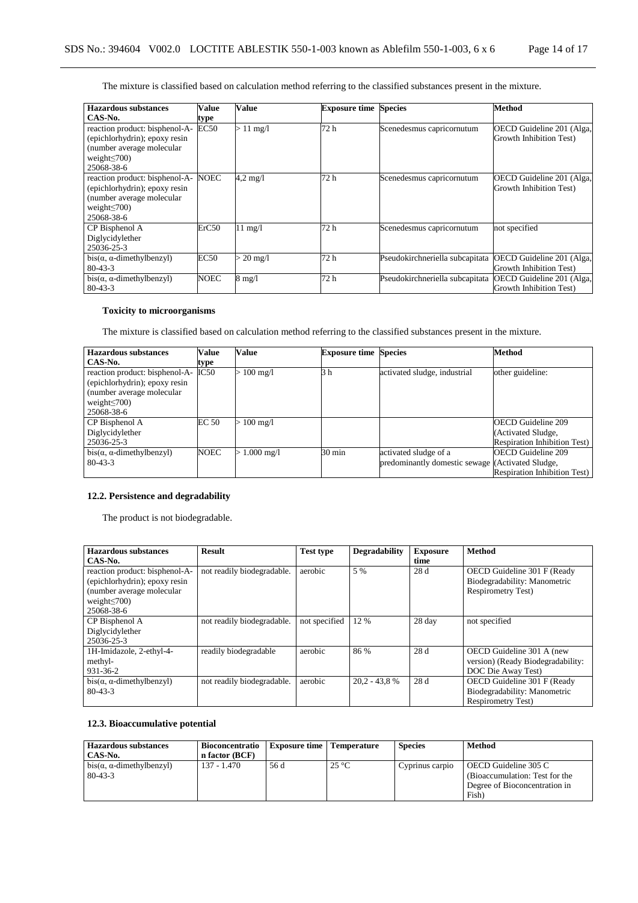The mixture is classified based on calculation method referring to the classified substances present in the mixture.

| <b>Hazardous</b> substances                                                                                                      | Value       | Value              | <b>Exposure time Species</b> |                                 | Method                                               |
|----------------------------------------------------------------------------------------------------------------------------------|-------------|--------------------|------------------------------|---------------------------------|------------------------------------------------------|
| CAS-No.                                                                                                                          | type        |                    |                              |                                 |                                                      |
| reaction product: bisphenol-A-<br>(epichlorhydrin); epoxy resin<br>(number average molecular<br>weight $\leq$ 700)<br>25068-38-6 | EC50        | $>11 \text{ mg/l}$ | 72 h                         | Scenedesmus capricornutum       | OECD Guideline 201 (Alga,<br>Growth Inhibition Test) |
| reaction product: bisphenol-A-<br>(epichlorhydrin); epoxy resin<br>(number average molecular<br>weight $\leq$ 700)<br>25068-38-6 | NOEC        | $4.2 \text{ mg}/1$ | 72 h                         | Scenedesmus capricornutum       | OECD Guideline 201 (Alga,<br>Growth Inhibition Test) |
| CP Bisphenol A<br>Diglycidylether<br>25036-25-3                                                                                  | ErC50       | $11 \text{ mg}/l$  | 72 h                         | Scenedesmus capricornutum       | not specified                                        |
| $bis(\alpha, \alpha$ -dimethylbenzyl)<br>$80 - 43 - 3$                                                                           | <b>EC50</b> | $20 \text{ mg}/l$  | 72 h                         | Pseudokirchneriella subcapitata | OECD Guideline 201 (Alga,<br>Growth Inhibition Test) |
| $bis(\alpha, \alpha$ -dimethylbenzyl)<br>$80 - 43 - 3$                                                                           | NOEC        | $8 \text{ mg}/1$   | 72 h                         | Pseudokirchneriella subcapitata | OECD Guideline 201 (Alga,<br>Growth Inhibition Test) |

# **Toxicity to microorganisms**

The mixture is classified based on calculation method referring to the classified substances present in the mixture.

| <b>Hazardous substances</b>           | Value        | Value                | <b>Exposure time Species</b> |                                                  | <b>Method</b>                       |
|---------------------------------------|--------------|----------------------|------------------------------|--------------------------------------------------|-------------------------------------|
| CAS-No.                               | type         |                      |                              |                                                  |                                     |
| reaction product: bisphenol-A-        | IC50         | $100 \text{ mg}/1$   | 3 h                          | activated sludge, industrial                     | other guideline:                    |
| (epichlorhydrin); epoxy resin         |              |                      |                              |                                                  |                                     |
| (number average molecular             |              |                      |                              |                                                  |                                     |
| weight $\leq$ 700)                    |              |                      |                              |                                                  |                                     |
| 25068-38-6                            |              |                      |                              |                                                  |                                     |
| CP Bisphenol A                        | <b>EC 50</b> | $100 \text{ mg}/1$   |                              |                                                  | <b>OECD</b> Guideline 209           |
| Diglycidylether                       |              |                      |                              |                                                  | (Activated Sludge,                  |
| 25036-25-3                            |              |                      |                              |                                                  | <b>Respiration Inhibition Test)</b> |
| $bis(\alpha, \alpha$ -dimethylbenzyl) | <b>NOEC</b>  | $1.000 \text{ mg/l}$ | $30 \text{ min}$             | activated sludge of a                            | <b>OECD</b> Guideline 209           |
| $80 - 43 - 3$                         |              |                      |                              | predominantly domestic sewage (Activated Sludge, |                                     |
|                                       |              |                      |                              |                                                  | <b>Respiration Inhibition Test)</b> |

# **12.2. Persistence and degradability**

The product is not biodegradable.

| <b>Hazardous substances</b>           | <b>Result</b>              | <b>Test type</b> | <b>Degradability</b> | <b>Exposure</b> | <b>Method</b>                     |
|---------------------------------------|----------------------------|------------------|----------------------|-----------------|-----------------------------------|
| CAS-No.                               |                            |                  |                      | time            |                                   |
| reaction product: bisphenol-A-        | not readily biodegradable. | aerobic          | 5 %                  | 28 d            | OECD Guideline 301 F (Ready       |
| (epichlorhydrin); epoxy resin         |                            |                  |                      |                 | Biodegradability: Manometric      |
| (number average molecular             |                            |                  |                      |                 | <b>Respirometry Test)</b>         |
| weight $\leq$ 700)                    |                            |                  |                      |                 |                                   |
| 25068-38-6                            |                            |                  |                      |                 |                                   |
| CP Bisphenol A                        | not readily biodegradable. | not specified    | 12 %                 | 28 day          | not specified                     |
| Diglycidylether                       |                            |                  |                      |                 |                                   |
| 25036-25-3                            |                            |                  |                      |                 |                                   |
| 1H-Imidazole, 2-ethyl-4-              | readily biodegradable      | aerobic          | 86 %                 | 28 d            | OECD Guideline 301 A (new         |
| methyl-                               |                            |                  |                      |                 | version) (Ready Biodegradability: |
| 931-36-2                              |                            |                  |                      |                 | DOC Die Away Test)                |
| $bis(\alpha, \alpha$ -dimethylbenzyl) | not readily biodegradable. | aerobic          | $20.2 - 43.8$ %      | 28 d            | OECD Guideline 301 F (Ready       |
| $80 - 43 - 3$                         |                            |                  |                      |                 | Biodegradability: Manometric      |
|                                       |                            |                  |                      |                 | <b>Respirometry Test)</b>         |

# **12.3. Bioaccumulative potential**

| <b>Hazardous substances</b><br>CAS-No.                 | <b>Bioconcentratio</b><br>n factor (BCF) | <b>Exposure time</b>   Temperature |                | <b>Species</b>  | <b>Method</b>                                                                                    |
|--------------------------------------------------------|------------------------------------------|------------------------------------|----------------|-----------------|--------------------------------------------------------------------------------------------------|
| $bis(\alpha, \alpha$ -dimethylbenzyl)<br>$80 - 43 - 3$ | 137 - 1.470                              | 56 d                               | $25^{\circ}$ C | Cyprinus carpio | OECD Guideline 305 C<br>(Bioaccumulation: Test for the<br>Degree of Bioconcentration in<br>Fish) |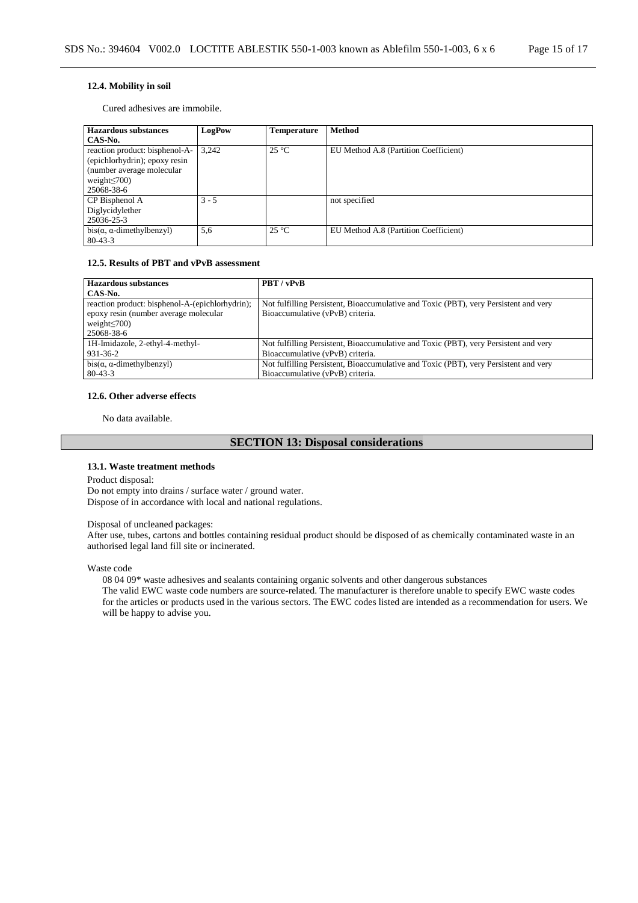### **12.4. Mobility in soil**

Cured adhesives are immobile.

| <b>Hazardous substances</b>           | LogPow  | <b>Temperature</b> | <b>Method</b>                         |
|---------------------------------------|---------|--------------------|---------------------------------------|
| CAS-No.                               |         |                    |                                       |
| reaction product: bisphenol-A-        | 3.242   | $25^{\circ}$ C     | EU Method A.8 (Partition Coefficient) |
| (epichlorhydrin); epoxy resin         |         |                    |                                       |
| (number average molecular)            |         |                    |                                       |
| weight $\leq$ 700)                    |         |                    |                                       |
| 25068-38-6                            |         |                    |                                       |
| CP Bisphenol A                        | $3 - 5$ |                    | not specified                         |
| Diglycidylether                       |         |                    |                                       |
| 25036-25-3                            |         |                    |                                       |
| $bis(\alpha, \alpha$ -dimethylbenzyl) | 5,6     | $25^{\circ}$ C     | EU Method A.8 (Partition Coefficient) |
| $80 - 43 - 3$                         |         |                    |                                       |

## **12.5. Results of PBT and vPvB assessment**

| <b>Hazardous substances</b>                     | PBT/vPvB                                                                             |
|-------------------------------------------------|--------------------------------------------------------------------------------------|
| CAS-No.                                         |                                                                                      |
| reaction product: bisphenol-A-(epichlorhydrin); | Not fulfilling Persistent, Bioaccumulative and Toxic (PBT), very Persistent and very |
| epoxy resin (number average molecular           | Bioaccumulative (vPvB) criteria.                                                     |
| weight $\leq$ 700)                              |                                                                                      |
| 25068-38-6                                      |                                                                                      |
| 1H-Imidazole, 2-ethyl-4-methyl-                 | Not fulfilling Persistent, Bioaccumulative and Toxic (PBT), very Persistent and very |
| 931-36-2                                        | Bioaccumulative (vPvB) criteria.                                                     |
| $bis(\alpha, \alpha$ -dimethylbenzyl)           | Not fulfilling Persistent, Bioaccumulative and Toxic (PBT), very Persistent and very |
| $80 - 43 - 3$                                   | Bioaccumulative (vPvB) criteria.                                                     |

#### **12.6. Other adverse effects**

No data available.

# **SECTION 13: Disposal considerations**

#### **13.1. Waste treatment methods**

Product disposal:

Do not empty into drains / surface water / ground water. Dispose of in accordance with local and national regulations.

#### Disposal of uncleaned packages:

After use, tubes, cartons and bottles containing residual product should be disposed of as chemically contaminated waste in an authorised legal land fill site or incinerated.

Waste code

08 04 09\* waste adhesives and sealants containing organic solvents and other dangerous substances

The valid EWC waste code numbers are source-related. The manufacturer is therefore unable to specify EWC waste codes for the articles or products used in the various sectors. The EWC codes listed are intended as a recommendation for users. We will be happy to advise you.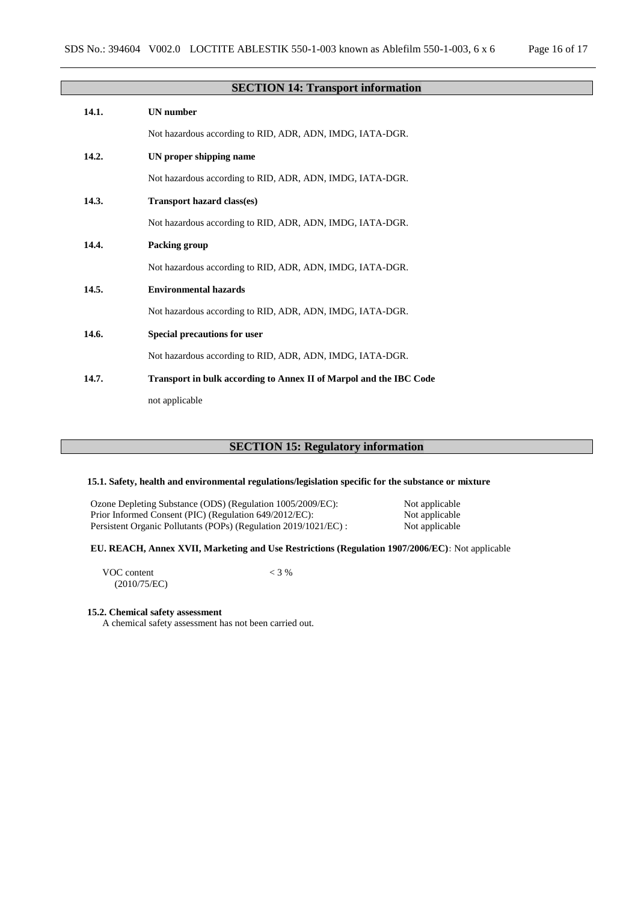|       | <b>SECTION 14: Transport information</b>                                  |
|-------|---------------------------------------------------------------------------|
| 14.1. | <b>UN</b> number                                                          |
|       | Not hazardous according to RID, ADR, ADN, IMDG, IATA-DGR.                 |
| 14.2. | UN proper shipping name                                                   |
|       | Not hazardous according to RID, ADR, ADN, IMDG, IATA-DGR.                 |
| 14.3. | Transport hazard class(es)                                                |
|       | Not hazardous according to RID, ADR, ADN, IMDG, IATA-DGR.                 |
| 14.4. | Packing group                                                             |
|       | Not hazardous according to RID, ADR, ADN, IMDG, IATA-DGR.                 |
| 14.5. | <b>Environmental hazards</b>                                              |
|       | Not hazardous according to RID, ADR, ADN, IMDG, IATA-DGR.                 |
| 14.6. | Special precautions for user                                              |
|       | Not hazardous according to RID, ADR, ADN, IMDG, IATA-DGR.                 |
| 14.7. | <b>Transport in bulk according to Annex II of Marpol and the IBC Code</b> |
|       | not applicable                                                            |

# **SECTION 15: Regulatory information**

### **15.1. Safety, health and environmental regulations/legislation specific for the substance or mixture**

Ozone Depleting Substance (ODS) (Regulation 1005/2009/EC): Not applicable<br>Prior Informed Consent (PIC) (Regulation 649/2012/EC): Not applicable Prior Informed Consent (PIC) (Regulation 649/2012/EC): Not applicable<br>Persistent Organic Pollutants (POPs) (Regulation 2019/1021/EC) : Not applicable Persistent Organic Pollutants (POPs) (Regulation 2019/1021/EC) :

# **EU. REACH, Annex XVII, Marketing and Use Restrictions (Regulation 1907/2006/EC):** Not applicable

VOC content (2010/75/EC)  $< 3 %$ 

### **15.2. Chemical safety assessment**

A chemical safety assessment has not been carried out.